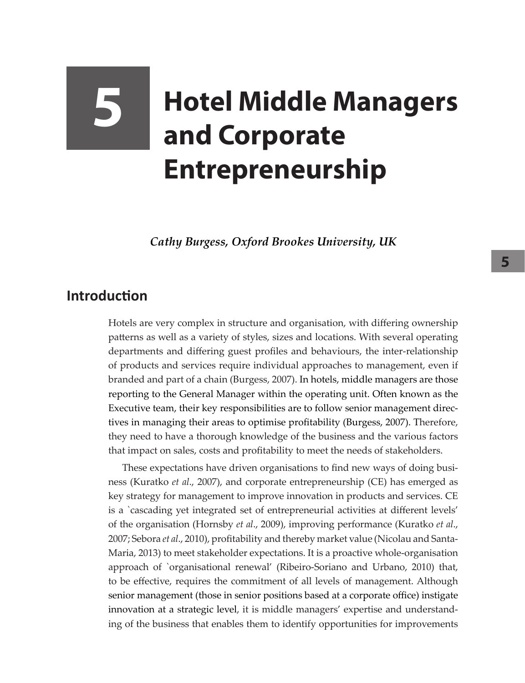# **5 Hotel Middle Managers and Corporate Entrepreneurship**

*Cathy Burgess, Oxford Brookes University, UK*

## **Introduction**

Hotels are very complex in structure and organisation, with differing ownership patterns as well as a variety of styles, sizes and locations. With several operating departments and differing guest profiles and behaviours, the inter-relationship of products and services require individual approaches to management, even if branded and part of a chain (Burgess, 2007). In hotels, middle managers are those reporting to the General Manager within the operating unit. Often known as the Executive team, their key responsibilities are to follow senior management directives in managing their areas to optimise profitability (Burgess, 2007). Therefore, they need to have a thorough knowledge of the business and the various factors that impact on sales, costs and profitability to meet the needs of stakeholders.

These expectations have driven organisations to find new ways of doing business (Kuratko *et al*., 2007), and corporate entrepreneurship (CE) has emerged as key strategy for management to improve innovation in products and services. CE is a `cascading yet integrated set of entrepreneurial activities at different levels' of the organisation (Hornsby *et al*., 2009), improving performance (Kuratko *et al*., 2007; Sebora *et al*., 2010), profitability and thereby market value (Nicolau and Santa-Maria, 2013) to meet stakeholder expectations. It is a proactive whole-organisation approach of `organisational renewal' (Ribeiro-Soriano and Urbano, 2010) that, to be effective, requires the commitment of all levels of management. Although senior management (those in senior positions based at a corporate office) instigate innovation at a strategic level, it is middle managers' expertise and understanding of the business that enables them to identify opportunities for improvements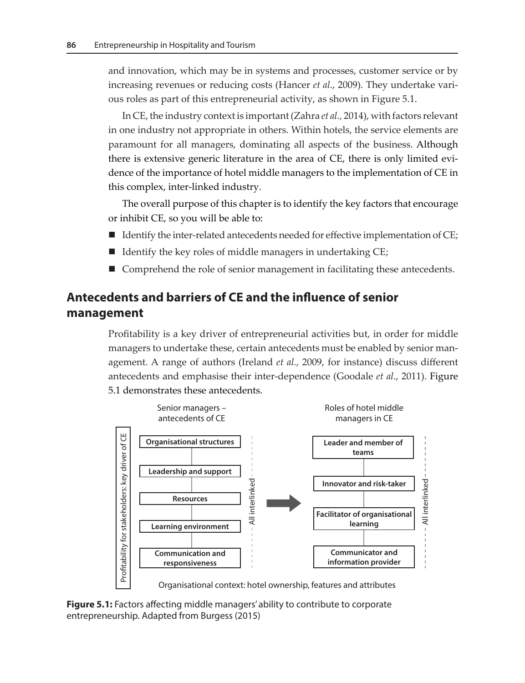and innovation, which may be in systems and processes, customer service or by increasing revenues or reducing costs (Hancer *et al*., 2009). They undertake various roles as part of this entrepreneurial activity, as shown in Figure 5.1.

In CE, the industry context is important (Zahra *et al.,* 2014), with factors relevant in one industry not appropriate in others. Within hotels, the service elements are paramount for all managers, dominating all aspects of the business. Although there is extensive generic literature in the area of CE, there is only limited evidence of the importance of hotel middle managers to the implementation of CE in this complex, inter-linked industry.

The overall purpose of this chapter is to identify the key factors that encourage or inhibit CE, so you will be able to:

- $\blacksquare$  Identify the inter-related antecedents needed for effective implementation of CE;
- $\blacksquare$  Identify the key roles of middle managers in undertaking CE;
- $\blacksquare$  Comprehend the role of senior management in facilitating these antecedents.

## **Antecedents and barriers of CE and the influence of senior management**

Profitability is a key driver of entrepreneurial activities but, in order for middle managers to undertake these, certain antecedents must be enabled by senior management. A range of authors (Ireland *et al.*, 2009, for instance) discuss different antecedents and emphasise their inter-dependence (Goodale et al., 2011). Figure 5.1 demonstrates these antecedents.



**Figure 5.1:** Factors affecting middle managers' ability to contribute to corporate entrepreneurship. Adapted from Burgess (2015)